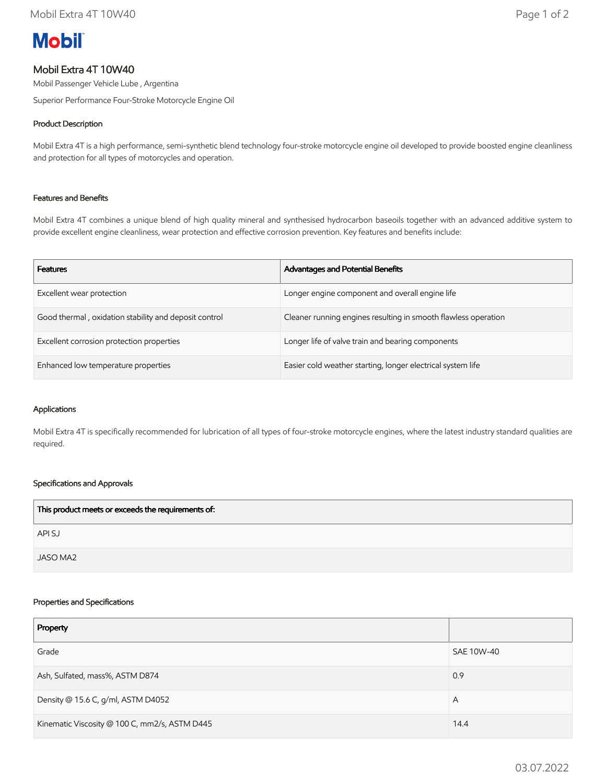# **Mobil**

# Mobil Extra 4T 10W40

Mobil Passenger Vehicle Lube , Argentina

Superior Performance Four-Stroke Motorcycle Engine Oil

# Product Description

Mobil Extra 4T is a high performance, semi-synthetic blend technology four-stroke motorcycle engine oil developed to provide boosted engine cleanliness and protection for all types of motorcycles and operation.

## Features and Benefits

Mobil Extra 4T combines a unique blend of high quality mineral and synthesised hydrocarbon baseoils together with an advanced additive system to provide excellent engine cleanliness, wear protection and effective corrosion prevention. Key features and benefits include:

| <b>Features</b>                                       | <b>Advantages and Potential Benefits</b>                       |
|-------------------------------------------------------|----------------------------------------------------------------|
| Excellent wear protection                             | Longer engine component and overall engine life                |
| Good thermal, oxidation stability and deposit control | Cleaner running engines resulting in smooth flawless operation |
| Excellent corrosion protection properties             | Longer life of valve train and bearing components              |
| Enhanced low temperature properties                   | Easier cold weather starting, longer electrical system life    |

#### Applications

Mobil Extra 4T is specifically recommended for lubrication of all types of four-stroke motorcycle engines, where the latest industry standard qualities are required.

## Specifications and Approvals

| This product meets or exceeds the requirements of: |  |
|----------------------------------------------------|--|
| API SJ                                             |  |
| JASO MA2                                           |  |

#### Properties and Specifications

| Property                                      |            |
|-----------------------------------------------|------------|
| Grade                                         | SAE 10W-40 |
| Ash, Sulfated, mass%, ASTM D874               | 0.9        |
| Density @ 15.6 C, g/ml, ASTM D4052            | A          |
| Kinematic Viscosity @ 100 C, mm2/s, ASTM D445 | 14.4       |